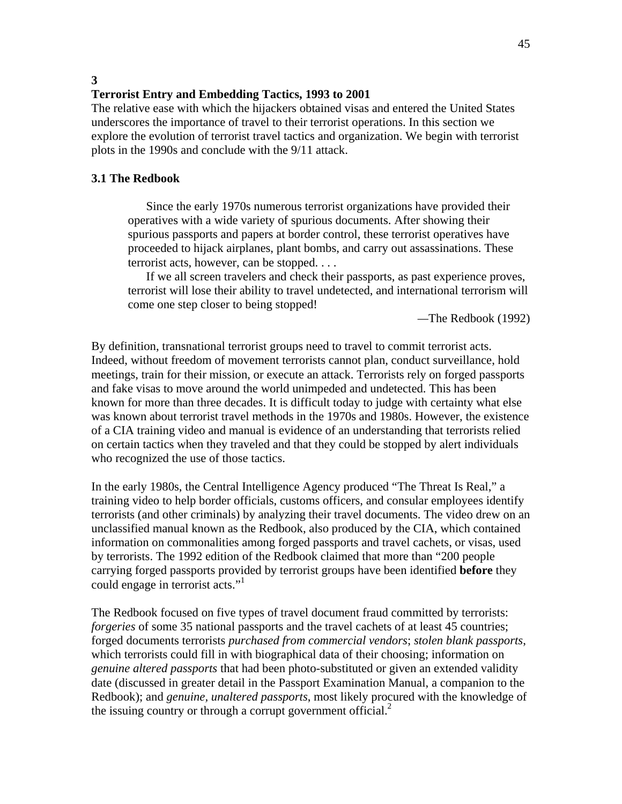**3** 

#### **Terrorist Entry and Embedding Tactics, 1993 to 2001**

The relative ease with which the hijackers obtained visas and entered the United States underscores the importance of travel to their terrorist operations. In this section we explore the evolution of terrorist travel tactics and organization. We begin with terrorist plots in the 1990s and conclude with the 9/11 attack.

#### **3.1 The Redbook**

Since the early 1970s numerous terrorist organizations have provided their operatives with a wide variety of spurious documents. After showing their spurious passports and papers at border control, these terrorist operatives have proceeded to hijack airplanes, plant bombs, and carry out assassinations. These terrorist acts, however, can be stopped. . . .

If we all screen travelers and check their passports, as past experience proves, terrorist will lose their ability to travel undetected, and international terrorism will come one step closer to being stopped!

*—*The Redbook (1992)

By definition, transnational terrorist groups need to travel to commit terrorist acts. Indeed, without freedom of movement terrorists cannot plan, conduct surveillance, hold meetings, train for their mission, or execute an attack. Terrorists rely on forged passports and fake visas to move around the world unimpeded and undetected. This has been known for more than three decades. It is difficult today to judge with certainty what else was known about terrorist travel methods in the 1970s and 1980s. However, the existence of a CIA training video and manual is evidence of an understanding that terrorists relied on certain tactics when they traveled and that they could be stopped by alert individuals who recognized the use of those tactics.

In the early 1980s, the Central Intelligence Agency produced "The Threat Is Real," a training video to help border officials, customs officers, and consular employees identify terrorists (and other criminals) by analyzing their travel documents. The video drew on an unclassified manual known as the Redbook, also produced by the CIA, which contained information on commonalities among forged passports and travel cachets, or visas, used by terrorists. The 1992 edition of the Redbook claimed that more than "200 people carrying forged passports provided by terrorist groups have been identified **before** they could engage in terrorist acts."1

The Redbook focused on five types of travel document fraud committed by terrorists: *forgeries* of some 35 national passports and the travel cachets of at least 45 countries; forged documents terrorists *purchased from commercial vendors*; *stolen blank passports*, which terrorists could fill in with biographical data of their choosing; information on *genuine altered passports* that had been photo-substituted or given an extended validity date (discussed in greater detail in the Passport Examination Manual, a companion to the Redbook); and *genuine, unaltered passports*, most likely procured with the knowledge of the issuing country or through a corrupt government official. $2^2$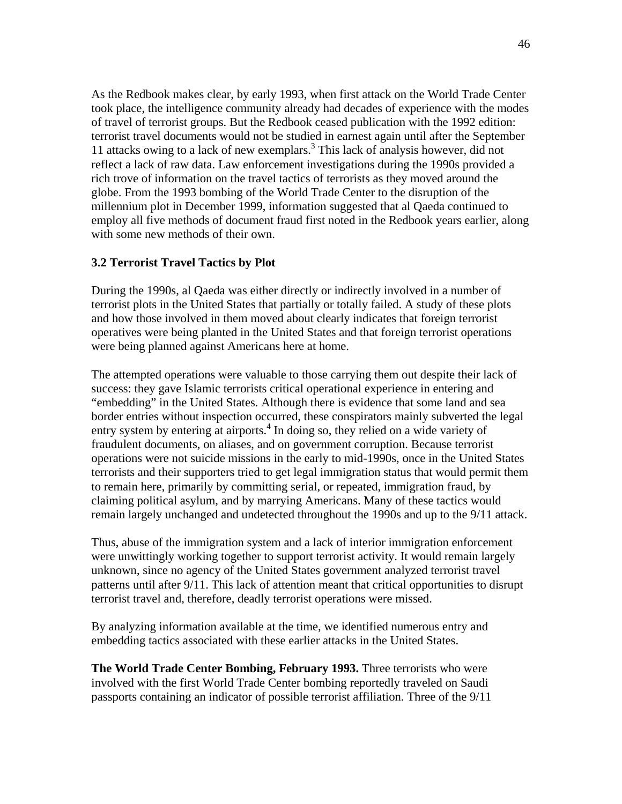As the Redbook makes clear, by early 1993, when first attack on the World Trade Center took place, the intelligence community already had decades of experience with the modes of travel of terrorist groups. But the Redbook ceased publication with the 1992 edition: terrorist travel documents would not be studied in earnest again until after the September 11 attacks owing to a lack of new exemplars.<sup>3</sup> This lack of analysis however, did not reflect a lack of raw data. Law enforcement investigations during the 1990s provided a rich trove of information on the travel tactics of terrorists as they moved around the globe. From the 1993 bombing of the World Trade Center to the disruption of the millennium plot in December 1999, information suggested that al Qaeda continued to employ all five methods of document fraud first noted in the Redbook years earlier, along with some new methods of their own.

## **3.2 Terrorist Travel Tactics by Plot**

During the 1990s, al Qaeda was either directly or indirectly involved in a number of terrorist plots in the United States that partially or totally failed. A study of these plots and how those involved in them moved about clearly indicates that foreign terrorist operatives were being planted in the United States and that foreign terrorist operations were being planned against Americans here at home.

The attempted operations were valuable to those carrying them out despite their lack of success: they gave Islamic terrorists critical operational experience in entering and "embedding" in the United States. Although there is evidence that some land and sea border entries without inspection occurred, these conspirators mainly subverted the legal entry system by entering at airports.<sup>4</sup> In doing so, they relied on a wide variety of fraudulent documents, on aliases, and on government corruption. Because terrorist operations were not suicide missions in the early to mid-1990s, once in the United States terrorists and their supporters tried to get legal immigration status that would permit them to remain here, primarily by committing serial, or repeated, immigration fraud, by claiming political asylum, and by marrying Americans. Many of these tactics would remain largely unchanged and undetected throughout the 1990s and up to the 9/11 attack.

Thus, abuse of the immigration system and a lack of interior immigration enforcement were unwittingly working together to support terrorist activity. It would remain largely unknown, since no agency of the United States government analyzed terrorist travel patterns until after 9/11. This lack of attention meant that critical opportunities to disrupt terrorist travel and, therefore, deadly terrorist operations were missed.

By analyzing information available at the time, we identified numerous entry and embedding tactics associated with these earlier attacks in the United States.

**The World Trade Center Bombing, February 1993.** Three terrorists who were involved with the first World Trade Center bombing reportedly traveled on Saudi passports containing an indicator of possible terrorist affiliation. Three of the 9/11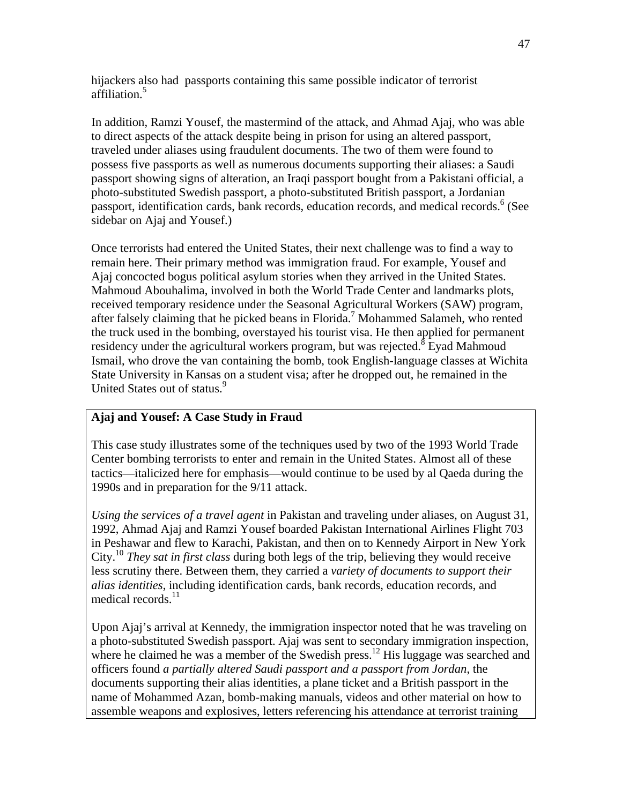hijackers also had passports containing this same possible indicator of terrorist affiliation.5

In addition, Ramzi Yousef, the mastermind of the attack, and Ahmad Ajaj, who was able to direct aspects of the attack despite being in prison for using an altered passport, traveled under aliases using fraudulent documents. The two of them were found to possess five passports as well as numerous documents supporting their aliases: a Saudi passport showing signs of alteration, an Iraqi passport bought from a Pakistani official, a photo-substituted Swedish passport, a photo-substituted British passport, a Jordanian passport, identification cards, bank records, education records, and medical records.<sup>6</sup> (See sidebar on Ajaj and Yousef.)

Once terrorists had entered the United States, their next challenge was to find a way to remain here. Their primary method was immigration fraud. For example, Yousef and Ajaj concocted bogus political asylum stories when they arrived in the United States. Mahmoud Abouhalima, involved in both the World Trade Center and landmarks plots, received temporary residence under the Seasonal Agricultural Workers (SAW) program, after falsely claiming that he picked beans in Florida.<sup>7</sup> Mohammed Salameh, who rented the truck used in the bombing, overstayed his tourist visa. He then applied for permanent residency under the agricultural workers program, but was rejected.<sup>8</sup> Eyad Mahmoud Ismail, who drove the van containing the bomb, took English-language classes at Wichita State University in Kansas on a student visa; after he dropped out, he remained in the United States out of status.<sup>9</sup>

## **Ajaj and Yousef: A Case Study in Fraud**

This case study illustrates some of the techniques used by two of the 1993 World Trade Center bombing terrorists to enter and remain in the United States. Almost all of these tactics—italicized here for emphasis—would continue to be used by al Qaeda during the 1990s and in preparation for the 9/11 attack.

*Using the services of a travel agent* in Pakistan and traveling under aliases, on August 31, 1992, Ahmad Ajaj and Ramzi Yousef boarded Pakistan International Airlines Flight 703 in Peshawar and flew to Karachi, Pakistan, and then on to Kennedy Airport in New York City.10 *They sat in first class* during both legs of the trip, believing they would receive less scrutiny there. Between them, they carried a *variety of documents to support their alias identities*, including identification cards, bank records, education records, and medical records.<sup>11</sup>

Upon Ajaj's arrival at Kennedy, the immigration inspector noted that he was traveling on a photo-substituted Swedish passport. Ajaj was sent to secondary immigration inspection, where he claimed he was a member of the Swedish press.<sup>12</sup> His luggage was searched and officers found *a partially altered Saudi passport and a passport from Jordan*, the documents supporting their alias identities, a plane ticket and a British passport in the name of Mohammed Azan, bomb-making manuals, videos and other material on how to assemble weapons and explosives, letters referencing his attendance at terrorist training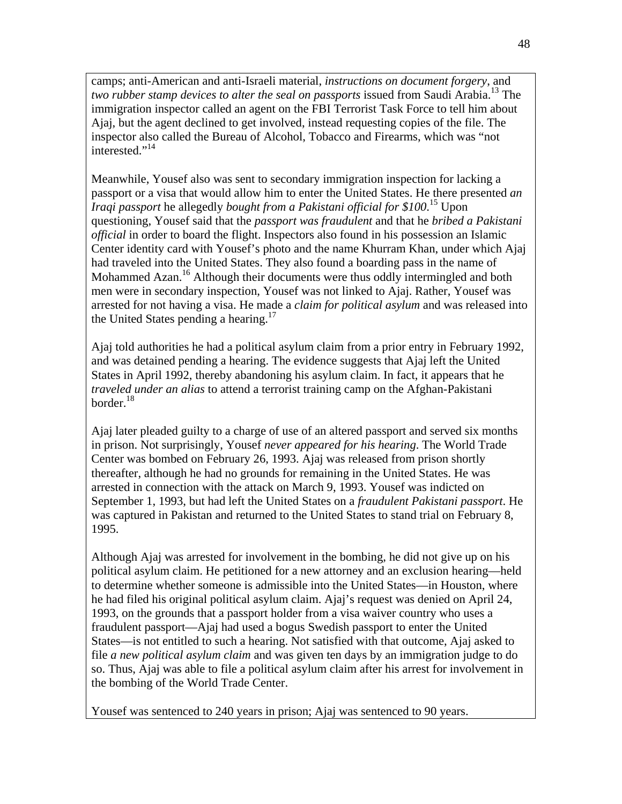camps; anti-American and anti-Israeli material, *instructions on document forgery*, and *two rubber stamp devices to alter the seal on passports* issued from Saudi Arabia.<sup>13</sup> The immigration inspector called an agent on the FBI Terrorist Task Force to tell him about Ajaj, but the agent declined to get involved, instead requesting copies of the file. The inspector also called the Bureau of Alcohol, Tobacco and Firearms, which was "not interested."<sup>14</sup>

Meanwhile, Yousef also was sent to secondary immigration inspection for lacking a passport or a visa that would allow him to enter the United States. He there presented *an Iraqi passport* he allegedly *bought from a Pakistani official for \$100*. 15 Upon questioning, Yousef said that the *passport was fraudulent* and that he *bribed a Pakistani official* in order to board the flight. Inspectors also found in his possession an Islamic Center identity card with Yousef's photo and the name Khurram Khan, under which Ajaj had traveled into the United States. They also found a boarding pass in the name of Mohammed Azan.<sup>16</sup> Although their documents were thus oddly intermingled and both men were in secondary inspection, Yousef was not linked to Ajaj. Rather, Yousef was arrested for not having a visa. He made a *claim for political asylum* and was released into the United States pending a hearing.<sup>17</sup>

Ajaj told authorities he had a political asylum claim from a prior entry in February 1992, and was detained pending a hearing. The evidence suggests that Ajaj left the United States in April 1992, thereby abandoning his asylum claim. In fact, it appears that he *traveled under an alias* to attend a terrorist training camp on the Afghan-Pakistani border.<sup>18</sup>

Ajaj later pleaded guilty to a charge of use of an altered passport and served six months in prison. Not surprisingly, Yousef *never appeared for his hearing*. The World Trade Center was bombed on February 26, 1993. Ajaj was released from prison shortly thereafter, although he had no grounds for remaining in the United States. He was arrested in connection with the attack on March 9, 1993. Yousef was indicted on September 1, 1993, but had left the United States on a *fraudulent Pakistani passport*. He was captured in Pakistan and returned to the United States to stand trial on February 8, 1995.

Although Ajaj was arrested for involvement in the bombing, he did not give up on his political asylum claim. He petitioned for a new attorney and an exclusion hearing—held to determine whether someone is admissible into the United States—in Houston, where he had filed his original political asylum claim. Ajaj's request was denied on April 24, 1993, on the grounds that a passport holder from a visa waiver country who uses a fraudulent passport—Ajaj had used a bogus Swedish passport to enter the United States—is not entitled to such a hearing. Not satisfied with that outcome, Ajaj asked to file *a new political asylum claim* and was given ten days by an immigration judge to do so. Thus, Ajaj was able to file a political asylum claim after his arrest for involvement in the bombing of the World Trade Center.

Yousef was sentenced to 240 years in prison; Ajaj was sentenced to 90 years.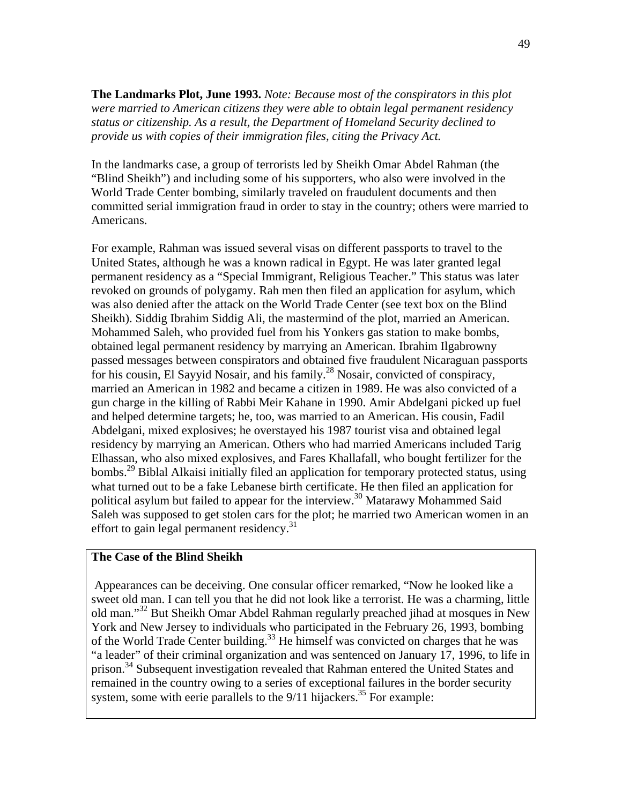**The Landmarks Plot, June 1993.** *Note: Because most of the conspirators in this plot were married to American citizens they were able to obtain legal permanent residency status or citizenship. As a result, the Department of Homeland Security declined to provide us with copies of their immigration files, citing the Privacy Act.* 

In the landmarks case, a group of terrorists led by Sheikh Omar Abdel Rahman (the "Blind Sheikh") and including some of his supporters, who also were involved in the World Trade Center bombing, similarly traveled on fraudulent documents and then committed serial immigration fraud in order to stay in the country; others were married to Americans.

For example, Rahman was issued several visas on different passports to travel to the United States, although he was a known radical in Egypt. He was later granted legal permanent residency as a "Special Immigrant, Religious Teacher." This status was later revoked on grounds of polygamy. Rah men then filed an application for asylum, which was also denied after the attack on the World Trade Center (see text box on the Blind Sheikh). Siddig Ibrahim Siddig Ali, the mastermind of the plot, married an American. Mohammed Saleh, who provided fuel from his Yonkers gas station to make bombs, obtained legal permanent residency by marrying an American. Ibrahim Ilgabrowny passed messages between conspirators and obtained five fraudulent Nicaraguan passports for his cousin, El Sayyid Nosair, and his family.<sup>28</sup> Nosair, convicted of conspiracy, married an American in 1982 and became a citizen in 1989. He was also convicted of a gun charge in the killing of Rabbi Meir Kahane in 1990. Amir Abdelgani picked up fuel and helped determine targets; he, too, was married to an American. His cousin, Fadil Abdelgani, mixed explosives; he overstayed his 1987 tourist visa and obtained legal residency by marrying an American. Others who had married Americans included Tarig Elhassan, who also mixed explosives, and Fares Khallafall, who bought fertilizer for the bombs.<sup>29</sup> Biblal Alkaisi initially filed an application for temporary protected status, using what turned out to be a fake Lebanese birth certificate. He then filed an application for political asylum but failed to appear for the interview.30 Matarawy Mohammed Said Saleh was supposed to get stolen cars for the plot; he married two American women in an effort to gain legal permanent residency.<sup>31</sup>

#### **The Case of the Blind Sheikh**

Appearances can be deceiving. One consular officer remarked, "Now he looked like a sweet old man. I can tell you that he did not look like a terrorist. He was a charming, little old man."32 But Sheikh Omar Abdel Rahman regularly preached jihad at mosques in New York and New Jersey to individuals who participated in the February 26, 1993, bombing of the World Trade Center building.<sup>33</sup> He himself was convicted on charges that he was "a leader" of their criminal organization and was sentenced on January 17, 1996, to life in prison.<sup>34</sup> Subsequent investigation revealed that Rahman entered the United States and remained in the country owing to a series of exceptional failures in the border security system, some with eerie parallels to the  $9/11$  hijackers.<sup>35</sup> For example: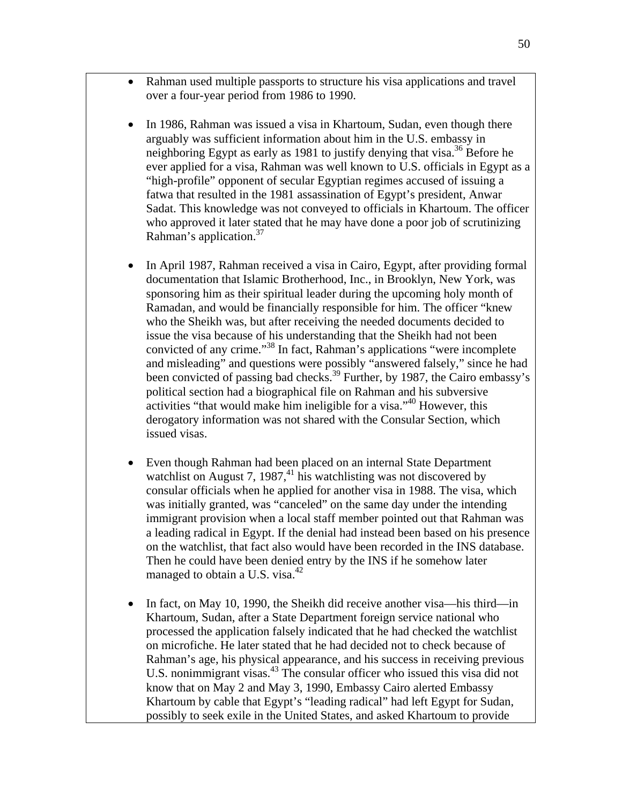- Rahman used multiple passports to structure his visa applications and travel over a four-year period from 1986 to 1990.
- In 1986, Rahman was issued a visa in Khartoum, Sudan, even though there arguably was sufficient information about him in the U.S. embassy in neighboring Egypt as early as 1981 to justify denying that visa.<sup>36</sup> Before he ever applied for a visa, Rahman was well known to U.S. officials in Egypt as a "high-profile" opponent of secular Egyptian regimes accused of issuing a fatwa that resulted in the 1981 assassination of Egypt's president, Anwar Sadat. This knowledge was not conveyed to officials in Khartoum. The officer who approved it later stated that he may have done a poor job of scrutinizing Rahman's application.<sup>37</sup>
- In April 1987, Rahman received a visa in Cairo, Egypt, after providing formal documentation that Islamic Brotherhood, Inc., in Brooklyn, New York, was sponsoring him as their spiritual leader during the upcoming holy month of Ramadan, and would be financially responsible for him. The officer "knew who the Sheikh was, but after receiving the needed documents decided to issue the visa because of his understanding that the Sheikh had not been convicted of any crime."38 In fact, Rahman's applications "were incomplete and misleading" and questions were possibly "answered falsely," since he had been convicted of passing bad checks.<sup>39</sup> Further, by 1987, the Cairo embassy's political section had a biographical file on Rahman and his subversive activities "that would make him ineligible for a visa."<sup>40</sup> However, this derogatory information was not shared with the Consular Section, which issued visas.
- Even though Rahman had been placed on an internal State Department watchlist on August 7, 1987, $^{41}$  his watchlisting was not discovered by consular officials when he applied for another visa in 1988. The visa, which was initially granted, was "canceled" on the same day under the intending immigrant provision when a local staff member pointed out that Rahman was a leading radical in Egypt. If the denial had instead been based on his presence on the watchlist, that fact also would have been recorded in the INS database. Then he could have been denied entry by the INS if he somehow later managed to obtain a U.S. visa.<sup>42</sup>
- In fact, on May 10, 1990, the Sheikh did receive another visa—his third—in Khartoum, Sudan, after a State Department foreign service national who processed the application falsely indicated that he had checked the watchlist on microfiche. He later stated that he had decided not to check because of Rahman's age, his physical appearance, and his success in receiving previous U.S. nonimmigrant visas.<sup>43</sup> The consular officer who issued this visa did not know that on May 2 and May 3, 1990, Embassy Cairo alerted Embassy Khartoum by cable that Egypt's "leading radical" had left Egypt for Sudan, possibly to seek exile in the United States, and asked Khartoum to provide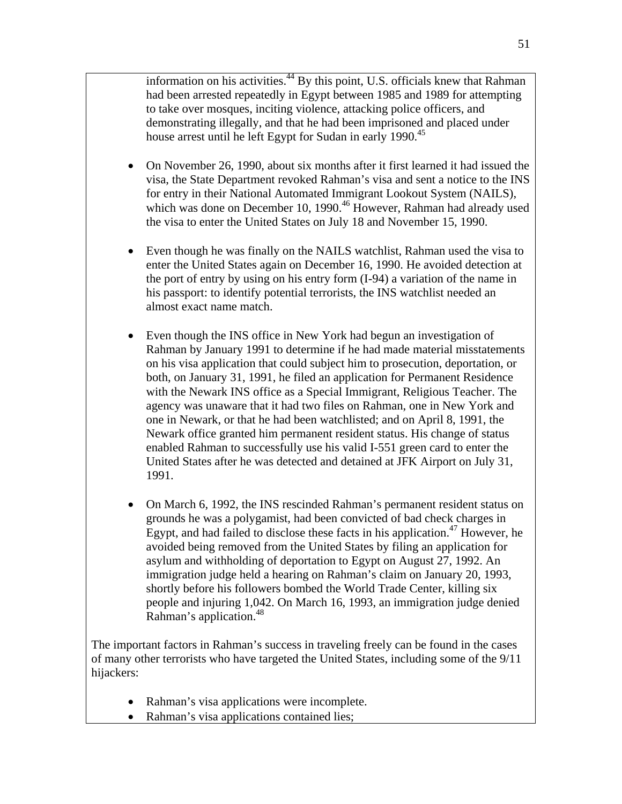information on his activities.<sup>44</sup> By this point, U.S. officials knew that Rahman had been arrested repeatedly in Egypt between 1985 and 1989 for attempting to take over mosques, inciting violence, attacking police officers, and demonstrating illegally, and that he had been imprisoned and placed under house arrest until he left Egypt for Sudan in early 1990.<sup>45</sup>

- On November 26, 1990, about six months after it first learned it had issued the visa, the State Department revoked Rahman's visa and sent a notice to the INS for entry in their National Automated Immigrant Lookout System (NAILS), which was done on December 10, 1990.<sup>46</sup> However, Rahman had already used the visa to enter the United States on July 18 and November 15, 1990.
- Even though he was finally on the NAILS watchlist, Rahman used the visa to enter the United States again on December 16, 1990. He avoided detection at the port of entry by using on his entry form (I-94) a variation of the name in his passport: to identify potential terrorists, the INS watchlist needed an almost exact name match.
- Even though the INS office in New York had begun an investigation of Rahman by January 1991 to determine if he had made material misstatements on his visa application that could subject him to prosecution, deportation, or both, on January 31, 1991, he filed an application for Permanent Residence with the Newark INS office as a Special Immigrant, Religious Teacher. The agency was unaware that it had two files on Rahman, one in New York and one in Newark, or that he had been watchlisted; and on April 8, 1991, the Newark office granted him permanent resident status. His change of status enabled Rahman to successfully use his valid I-551 green card to enter the United States after he was detected and detained at JFK Airport on July 31, 1991.
- On March 6, 1992, the INS rescinded Rahman's permanent resident status on grounds he was a polygamist, had been convicted of bad check charges in Egypt, and had failed to disclose these facts in his application. $47$  However, he avoided being removed from the United States by filing an application for asylum and withholding of deportation to Egypt on August 27, 1992. An immigration judge held a hearing on Rahman's claim on January 20, 1993, shortly before his followers bombed the World Trade Center, killing six people and injuring 1,042. On March 16, 1993, an immigration judge denied Rahman's application.<sup>48</sup>

The important factors in Rahman's success in traveling freely can be found in the cases of many other terrorists who have targeted the United States, including some of the 9/11 hijackers:

- Rahman's visa applications were incomplete.
- Rahman's visa applications contained lies;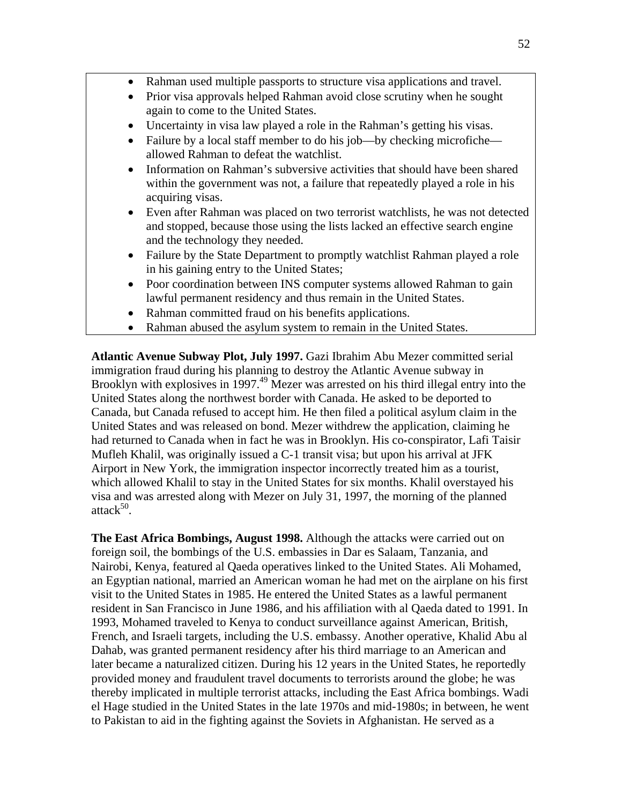- Rahman used multiple passports to structure visa applications and travel.
- Prior visa approvals helped Rahman avoid close scrutiny when he sought again to come to the United States.
- Uncertainty in visa law played a role in the Rahman's getting his visas.
- Failure by a local staff member to do his job—by checking microfiche allowed Rahman to defeat the watchlist.
- Information on Rahman's subversive activities that should have been shared within the government was not, a failure that repeatedly played a role in his acquiring visas.
- Even after Rahman was placed on two terrorist watchlists, he was not detected and stopped, because those using the lists lacked an effective search engine and the technology they needed.
- Failure by the State Department to promptly watchlist Rahman played a role in his gaining entry to the United States;
- Poor coordination between INS computer systems allowed Rahman to gain lawful permanent residency and thus remain in the United States.
- Rahman committed fraud on his benefits applications.
- Rahman abused the asylum system to remain in the United States.

**Atlantic Avenue Subway Plot, July 1997.** Gazi Ibrahim Abu Mezer committed serial immigration fraud during his planning to destroy the Atlantic Avenue subway in Brooklyn with explosives in 1997.<sup>49</sup> Mezer was arrested on his third illegal entry into the United States along the northwest border with Canada. He asked to be deported to Canada, but Canada refused to accept him. He then filed a political asylum claim in the United States and was released on bond. Mezer withdrew the application, claiming he had returned to Canada when in fact he was in Brooklyn. His co-conspirator, Lafi Taisir Mufleh Khalil, was originally issued a C-1 transit visa; but upon his arrival at JFK Airport in New York, the immigration inspector incorrectly treated him as a tourist, which allowed Khalil to stay in the United States for six months. Khalil overstayed his visa and was arrested along with Mezer on July 31, 1997, the morning of the planned attac $k^{50}$ .

**The East Africa Bombings, August 1998.** Although the attacks were carried out on foreign soil, the bombings of the U.S. embassies in Dar es Salaam, Tanzania, and Nairobi, Kenya, featured al Qaeda operatives linked to the United States. Ali Mohamed, an Egyptian national, married an American woman he had met on the airplane on his first visit to the United States in 1985. He entered the United States as a lawful permanent resident in San Francisco in June 1986, and his affiliation with al Qaeda dated to 1991. In 1993, Mohamed traveled to Kenya to conduct surveillance against American, British, French, and Israeli targets, including the U.S. embassy. Another operative, Khalid Abu al Dahab, was granted permanent residency after his third marriage to an American and later became a naturalized citizen. During his 12 years in the United States, he reportedly provided money and fraudulent travel documents to terrorists around the globe; he was thereby implicated in multiple terrorist attacks, including the East Africa bombings. Wadi el Hage studied in the United States in the late 1970s and mid-1980s; in between, he went to Pakistan to aid in the fighting against the Soviets in Afghanistan. He served as a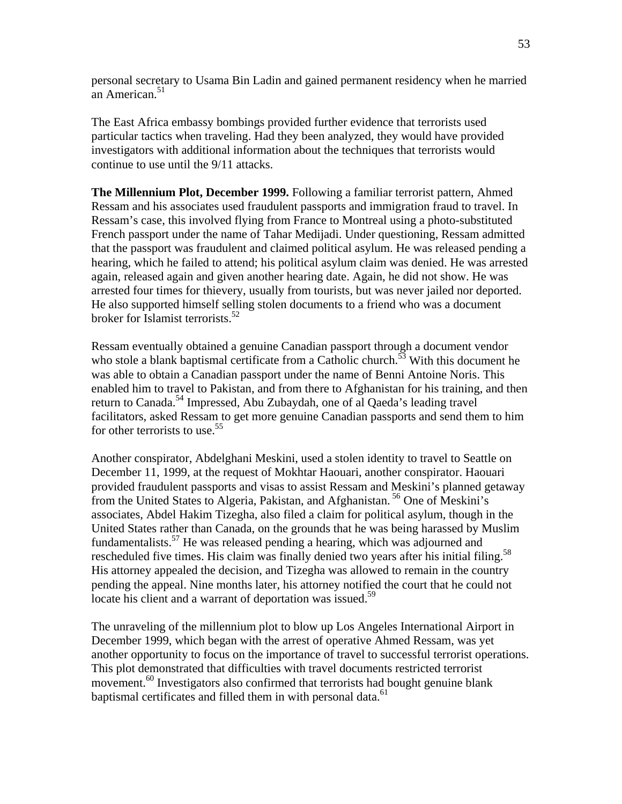personal secretary to Usama Bin Ladin and gained permanent residency when he married an American.<sup>51</sup>

The East Africa embassy bombings provided further evidence that terrorists used particular tactics when traveling. Had they been analyzed, they would have provided investigators with additional information about the techniques that terrorists would continue to use until the 9/11 attacks.

**The Millennium Plot, December 1999.** Following a familiar terrorist pattern, Ahmed Ressam and his associates used fraudulent passports and immigration fraud to travel. In Ressam's case, this involved flying from France to Montreal using a photo-substituted French passport under the name of Tahar Medijadi. Under questioning, Ressam admitted that the passport was fraudulent and claimed political asylum. He was released pending a hearing, which he failed to attend; his political asylum claim was denied. He was arrested again, released again and given another hearing date. Again, he did not show. He was arrested four times for thievery, usually from tourists, but was never jailed nor deported. He also supported himself selling stolen documents to a friend who was a document broker for Islamist terrorists.<sup>52</sup>

Ressam eventually obtained a genuine Canadian passport through a document vendor who stole a blank baptismal certificate from a Catholic church.<sup>53</sup> With this document he was able to obtain a Canadian passport under the name of Benni Antoine Noris. This enabled him to travel to Pakistan, and from there to Afghanistan for his training, and then return to Canada.<sup>54</sup> Impressed, Abu Zubaydah, one of al Qaeda's leading travel facilitators, asked Ressam to get more genuine Canadian passports and send them to him for other terrorists to use.<sup>55</sup>

Another conspirator, Abdelghani Meskini, used a stolen identity to travel to Seattle on December 11, 1999, at the request of Mokhtar Haouari, another conspirator. Haouari provided fraudulent passports and visas to assist Ressam and Meskini's planned getaway from the United States to Algeria, Pakistan, and Afghanistan. 56 One of Meskini's associates, Abdel Hakim Tizegha, also filed a claim for political asylum, though in the United States rather than Canada, on the grounds that he was being harassed by Muslim fundamentalists.57 He was released pending a hearing, which was adjourned and rescheduled five times. His claim was finally denied two years after his initial filing.<sup>58</sup> His attorney appealed the decision, and Tizegha was allowed to remain in the country pending the appeal. Nine months later, his attorney notified the court that he could not locate his client and a warrant of deportation was issued.<sup>59</sup>

The unraveling of the millennium plot to blow up Los Angeles International Airport in December 1999, which began with the arrest of operative Ahmed Ressam, was yet another opportunity to focus on the importance of travel to successful terrorist operations. This plot demonstrated that difficulties with travel documents restricted terrorist movement.<sup>60</sup> Investigators also confirmed that terrorists had bought genuine blank baptismal certificates and filled them in with personal data. $61$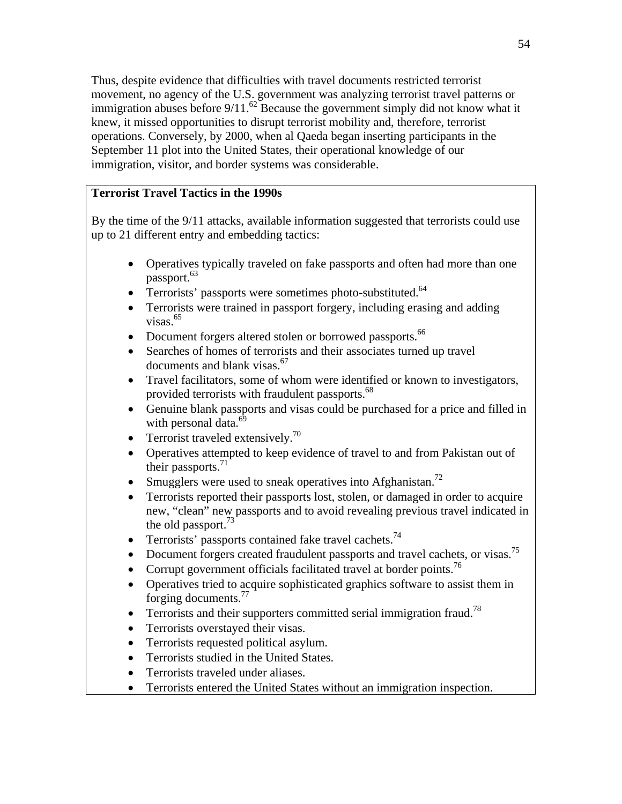Thus, despite evidence that difficulties with travel documents restricted terrorist movement, no agency of the U.S. government was analyzing terrorist travel patterns or immigration abuses before  $9/11$ .<sup>62</sup> Because the government simply did not know what it knew, it missed opportunities to disrupt terrorist mobility and, therefore, terrorist operations. Conversely, by 2000, when al Qaeda began inserting participants in the September 11 plot into the United States, their operational knowledge of our immigration, visitor, and border systems was considerable.

# **Terrorist Travel Tactics in the 1990s**

By the time of the 9/11 attacks, available information suggested that terrorists could use up to 21 different entry and embedding tactics:

- Operatives typically traveled on fake passports and often had more than one passport.<sup>63</sup>
- Terrorists' passports were sometimes photo-substituted.<sup>64</sup>
- Terrorists were trained in passport forgery, including erasing and adding  $visas.<sup>65</sup>$
- Document forgers altered stolen or borrowed passports.<sup>66</sup>
- Searches of homes of terrorists and their associates turned up travel documents and blank visas.<sup>67</sup>
- Travel facilitators, some of whom were identified or known to investigators, provided terrorists with fraudulent passports.<sup>68</sup>
- Genuine blank passports and visas could be purchased for a price and filled in with personal data.<sup>69</sup>
- Terrorist traveled extensively. $\frac{70}{2}$
- Operatives attempted to keep evidence of travel to and from Pakistan out of their passports. $71$
- Smugglers were used to sneak operatives into Afghanistan.<sup>72</sup>
- Terrorists reported their passports lost, stolen, or damaged in order to acquire new, "clean" new passports and to avoid revealing previous travel indicated in the old passport.<sup>73</sup>
- Terrorists' passports contained fake travel cachets.<sup>74</sup>
- Document forgers created fraudulent passports and travel cachets, or visas.<sup>75</sup>
- Corrupt government officials facilitated travel at border points.<sup>76</sup>
- Operatives tried to acquire sophisticated graphics software to assist them in forging documents.77
- Terrorists and their supporters committed serial immigration fraud.<sup>78</sup>
- Terrorists overstayed their visas.
- Terrorists requested political asylum.
- Terrorists studied in the United States.
- Terrorists traveled under aliases.
- Terrorists entered the United States without an immigration inspection.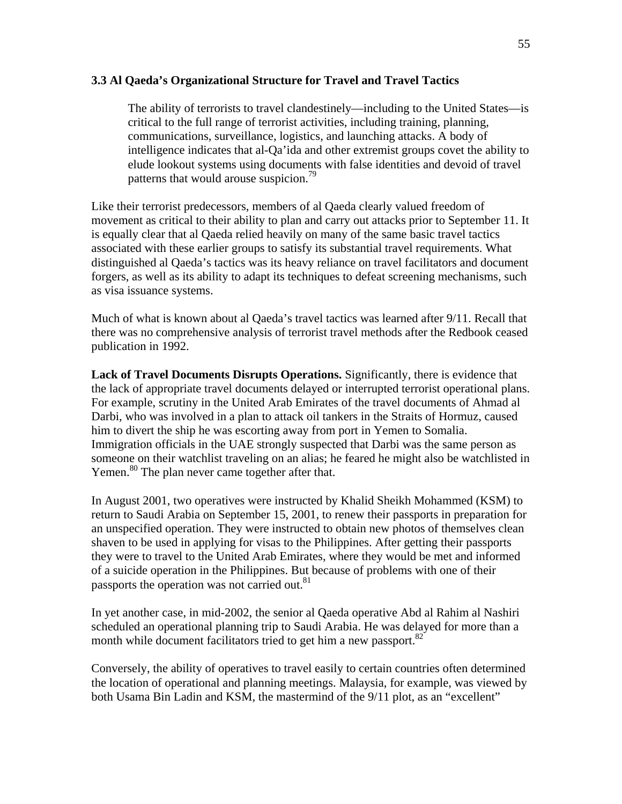#### **3.3 Al Qaeda's Organizational Structure for Travel and Travel Tactics**

The ability of terrorists to travel clandestinely—including to the United States—is critical to the full range of terrorist activities, including training, planning, communications, surveillance, logistics, and launching attacks. A body of intelligence indicates that al-Qa'ida and other extremist groups covet the ability to elude lookout systems using documents with false identities and devoid of travel patterns that would arouse suspicion. $\frac{79}{9}$ 

Like their terrorist predecessors, members of al Qaeda clearly valued freedom of movement as critical to their ability to plan and carry out attacks prior to September 11. It is equally clear that al Qaeda relied heavily on many of the same basic travel tactics associated with these earlier groups to satisfy its substantial travel requirements. What distinguished al Qaeda's tactics was its heavy reliance on travel facilitators and document forgers, as well as its ability to adapt its techniques to defeat screening mechanisms, such as visa issuance systems.

Much of what is known about al Qaeda's travel tactics was learned after 9/11. Recall that there was no comprehensive analysis of terrorist travel methods after the Redbook ceased publication in 1992.

**Lack of Travel Documents Disrupts Operations.** Significantly, there is evidence that the lack of appropriate travel documents delayed or interrupted terrorist operational plans. For example, scrutiny in the United Arab Emirates of the travel documents of Ahmad al Darbi, who was involved in a plan to attack oil tankers in the Straits of Hormuz, caused him to divert the ship he was escorting away from port in Yemen to Somalia. Immigration officials in the UAE strongly suspected that Darbi was the same person as someone on their watchlist traveling on an alias; he feared he might also be watchlisted in Yemen.<sup>80</sup> The plan never came together after that.

In August 2001, two operatives were instructed by Khalid Sheikh Mohammed (KSM) to return to Saudi Arabia on September 15, 2001, to renew their passports in preparation for an unspecified operation. They were instructed to obtain new photos of themselves clean shaven to be used in applying for visas to the Philippines. After getting their passports they were to travel to the United Arab Emirates, where they would be met and informed of a suicide operation in the Philippines. But because of problems with one of their passports the operation was not carried out.<sup>81</sup>

In yet another case, in mid-2002, the senior al Qaeda operative Abd al Rahim al Nashiri scheduled an operational planning trip to Saudi Arabia. He was delayed for more than a month while document facilitators tried to get him a new passport.<sup>82</sup>

Conversely, the ability of operatives to travel easily to certain countries often determined the location of operational and planning meetings. Malaysia, for example, was viewed by both Usama Bin Ladin and KSM, the mastermind of the 9/11 plot, as an "excellent"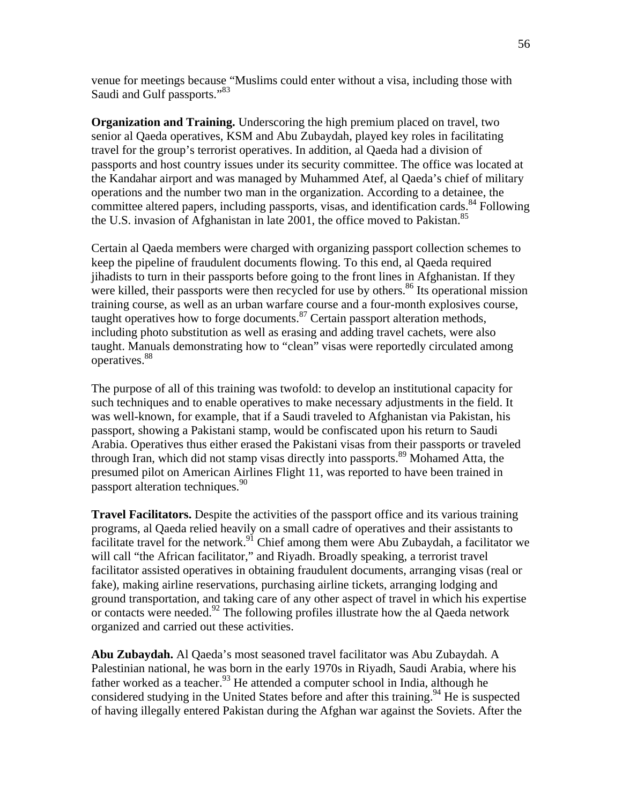venue for meetings because "Muslims could enter without a visa, including those with Saudi and Gulf passports."<sup>83</sup>

**Organization and Training.** Underscoring the high premium placed on travel, two senior al Qaeda operatives, KSM and Abu Zubaydah, played key roles in facilitating travel for the group's terrorist operatives. In addition, al Qaeda had a division of passports and host country issues under its security committee. The office was located at the Kandahar airport and was managed by Muhammed Atef, al Qaeda's chief of military operations and the number two man in the organization. According to a detainee, the committee altered papers, including passports, visas, and identification cards.<sup>84</sup> Following the U.S. invasion of Afghanistan in late 2001, the office moved to Pakistan.<sup>85</sup>

Certain al Qaeda members were charged with organizing passport collection schemes to keep the pipeline of fraudulent documents flowing. To this end, al Qaeda required jihadists to turn in their passports before going to the front lines in Afghanistan. If they were killed, their passports were then recycled for use by others.<sup>86</sup> Its operational mission training course, as well as an urban warfare course and a four-month explosives course, taught operatives how to forge documents. $^{87}$  Certain passport alteration methods, including photo substitution as well as erasing and adding travel cachets, were also taught. Manuals demonstrating how to "clean" visas were reportedly circulated among operatives.<sup>88</sup>

The purpose of all of this training was twofold: to develop an institutional capacity for such techniques and to enable operatives to make necessary adjustments in the field. It was well-known, for example, that if a Saudi traveled to Afghanistan via Pakistan, his passport, showing a Pakistani stamp, would be confiscated upon his return to Saudi Arabia. Operatives thus either erased the Pakistani visas from their passports or traveled through Iran, which did not stamp visas directly into passports.<sup>89</sup> Mohamed Atta, the presumed pilot on American Airlines Flight 11, was reported to have been trained in passport alteration techniques.<sup>90</sup>

**Travel Facilitators.** Despite the activities of the passport office and its various training programs, al Qaeda relied heavily on a small cadre of operatives and their assistants to facilitate travel for the network.<sup>91</sup> Chief among them were Abu Zubaydah, a facilitator we will call "the African facilitator," and Riyadh. Broadly speaking, a terrorist travel facilitator assisted operatives in obtaining fraudulent documents, arranging visas (real or fake), making airline reservations, purchasing airline tickets, arranging lodging and ground transportation, and taking care of any other aspect of travel in which his expertise or contacts were needed.<sup>92</sup> The following profiles illustrate how the al Qaeda network organized and carried out these activities.

**Abu Zubaydah.** Al Qaeda's most seasoned travel facilitator was Abu Zubaydah. A Palestinian national, he was born in the early 1970s in Riyadh, Saudi Arabia, where his father worked as a teacher.<sup>93</sup> He attended a computer school in India, although he considered studying in the United States before and after this training.<sup>94</sup> He is suspected of having illegally entered Pakistan during the Afghan war against the Soviets. After the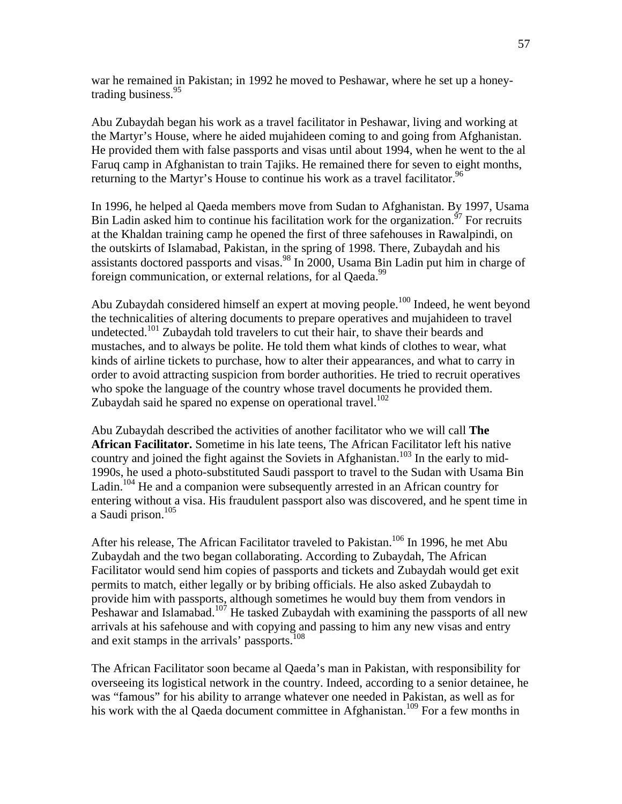war he remained in Pakistan; in 1992 he moved to Peshawar, where he set up a honeytrading business.<sup>95</sup>

Abu Zubaydah began his work as a travel facilitator in Peshawar, living and working at the Martyr's House, where he aided mujahideen coming to and going from Afghanistan. He provided them with false passports and visas until about 1994, when he went to the al Faruq camp in Afghanistan to train Tajiks. He remained there for seven to eight months, returning to the Martyr's House to continue his work as a travel facilitator.  $96$ 

In 1996, he helped al Qaeda members move from Sudan to Afghanistan. By 1997, Usama Bin Ladin asked him to continue his facilitation work for the organization.<sup> $97$ </sup> For recruits at the Khaldan training camp he opened the first of three safehouses in Rawalpindi, on the outskirts of Islamabad, Pakistan, in the spring of 1998. There, Zubaydah and his assistants doctored passports and visas.<sup>98</sup> In 2000, Usama Bin Ladin put him in charge of foreign communication, or external relations, for al Qaeda.<sup>99</sup>

Abu Zubaydah considered himself an expert at moving people.<sup>100</sup> Indeed, he went beyond the technicalities of altering documents to prepare operatives and mujahideen to travel undetected.<sup>101</sup> Zubaydah told travelers to cut their hair, to shave their beards and mustaches, and to always be polite. He told them what kinds of clothes to wear, what kinds of airline tickets to purchase, how to alter their appearances, and what to carry in order to avoid attracting suspicion from border authorities. He tried to recruit operatives who spoke the language of the country whose travel documents he provided them. Zubaydah said he spared no expense on operational travel.<sup>102</sup>

Abu Zubaydah described the activities of another facilitator who we will call **The African Facilitator.** Sometime in his late teens, The African Facilitator left his native country and joined the fight against the Soviets in Afghanistan.<sup>103</sup> In the early to mid-1990s, he used a photo-substituted Saudi passport to travel to the Sudan with Usama Bin Ladin.<sup>104</sup> He and a companion were subsequently arrested in an African country for entering without a visa. His fraudulent passport also was discovered, and he spent time in a Saudi prison.<sup>105</sup>

After his release, The African Facilitator traveled to Pakistan.<sup>106</sup> In 1996, he met Abu Zubaydah and the two began collaborating. According to Zubaydah, The African Facilitator would send him copies of passports and tickets and Zubaydah would get exit permits to match, either legally or by bribing officials. He also asked Zubaydah to provide him with passports, although sometimes he would buy them from vendors in Peshawar and Islamabad.<sup>107</sup> He tasked Zubaydah with examining the passports of all new arrivals at his safehouse and with copying and passing to him any new visas and entry and exit stamps in the arrivals' passports.<sup>108</sup>

The African Facilitator soon became al Qaeda's man in Pakistan, with responsibility for overseeing its logistical network in the country. Indeed, according to a senior detainee, he was "famous" for his ability to arrange whatever one needed in Pakistan, as well as for his work with the al Qaeda document committee in Afghanistan.<sup>109</sup> For a few months in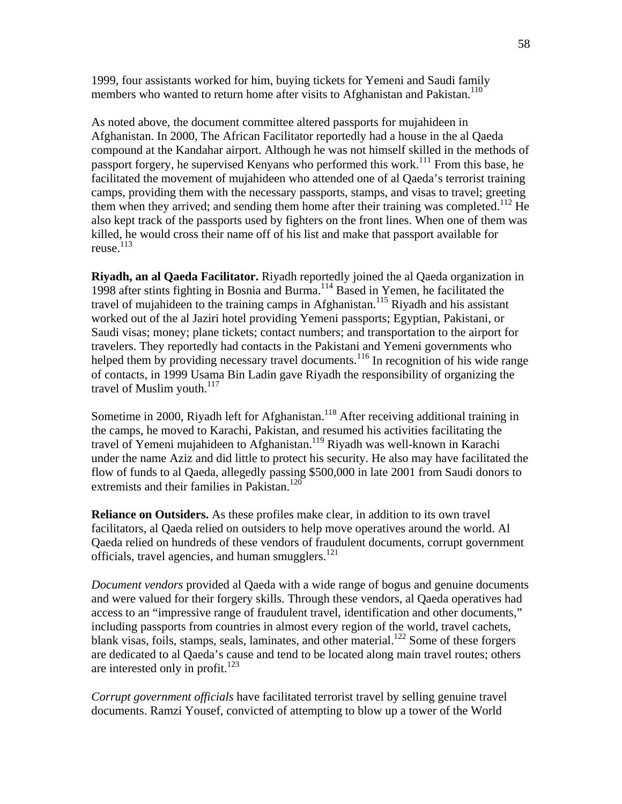1999, four assistants worked for him, buying tickets for Yemeni and Saudi family members who wanted to return home after visits to Afghanistan and Pakistan.<sup>110</sup>

As noted above, the document committee altered passports for mujahideen in Afghanistan. In 2000, The African Facilitator reportedly had a house in the al Qaeda compound at the Kandahar airport. Although he was not himself skilled in the methods of passport forgery, he supervised Kenyans who performed this work.<sup>111</sup> From this base, he facilitated the movement of mujahideen who attended one of al Qaeda's terrorist training camps, providing them with the necessary passports, stamps, and visas to travel; greeting them when they arrived; and sending them home after their training was completed.<sup>112</sup> He also kept track of the passports used by fighters on the front lines. When one of them was killed, he would cross their name off of his list and make that passport available for reuse. $113$ 

**Riyadh, an al Qaeda Facilitator.** Riyadh reportedly joined the al Qaeda organization in 1998 after stints fighting in Bosnia and Burma.<sup>114</sup> Based in Yemen, he facilitated the travel of mujahideen to the training camps in Afghanistan.<sup>115</sup> Riyadh and his assistant worked out of the al Jaziri hotel providing Yemeni passports; Egyptian, Pakistani, or Saudi visas; money; plane tickets; contact numbers; and transportation to the airport for travelers. They reportedly had contacts in the Pakistani and Yemeni governments who helped them by providing necessary travel documents.<sup>116</sup> In recognition of his wide range of contacts, in 1999 Usama Bin Ladin gave Riyadh the responsibility of organizing the travel of Muslim youth. $117$ 

Sometime in 2000, Riyadh left for Afghanistan.<sup>118</sup> After receiving additional training in the camps, he moved to Karachi, Pakistan, and resumed his activities facilitating the travel of Yemeni mujahideen to Afghanistan.<sup>119</sup> Riyadh was well-known in Karachi under the name Aziz and did little to protect his security. He also may have facilitated the flow of funds to al Qaeda, allegedly passing \$500,000 in late 2001 from Saudi donors to extremists and their families in Pakistan.<sup>120</sup>

**Reliance on Outsiders.** As these profiles make clear, in addition to its own travel facilitators, al Qaeda relied on outsiders to help move operatives around the world. Al Qaeda relied on hundreds of these vendors of fraudulent documents, corrupt government officials, travel agencies, and human smugglers. $121$ 

*Document vendors* provided al Qaeda with a wide range of bogus and genuine documents and were valued for their forgery skills. Through these vendors, al Qaeda operatives had access to an "impressive range of fraudulent travel, identification and other documents," including passports from countries in almost every region of the world, travel cachets, blank visas, foils, stamps, seals, laminates, and other material.<sup>122</sup> Some of these forgers are dedicated to al Qaeda's cause and tend to be located along main travel routes; others are interested only in profit.<sup>123</sup>

*Corrupt government officials* have facilitated terrorist travel by selling genuine travel documents. Ramzi Yousef, convicted of attempting to blow up a tower of the World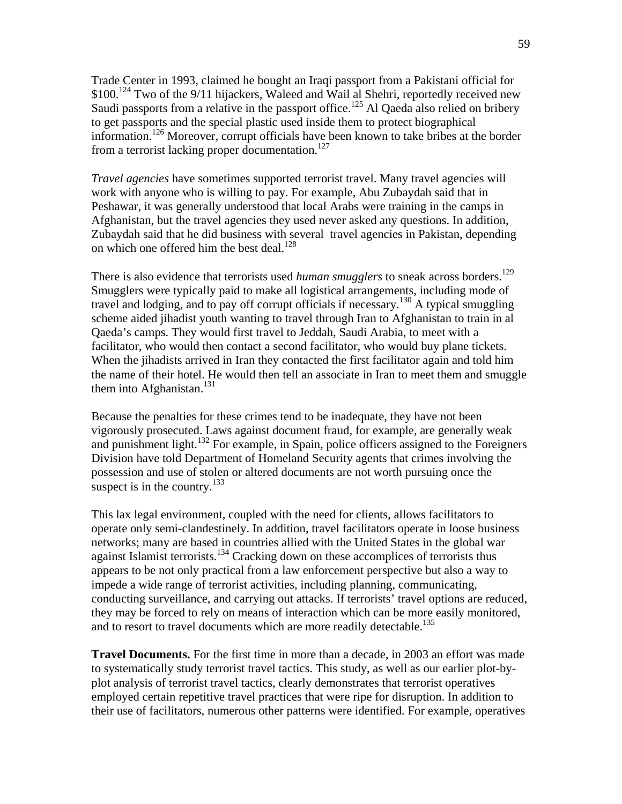Trade Center in 1993, claimed he bought an Iraqi passport from a Pakistani official for \$100.<sup>124</sup> Two of the 9/11 hijackers, Waleed and Wail al Shehri, reportedly received new Saudi passports from a relative in the passport office.<sup>125</sup> Al Qaeda also relied on bribery to get passports and the special plastic used inside them to protect biographical information.126 Moreover, corrupt officials have been known to take bribes at the border from a terrorist lacking proper documentation.<sup>127</sup>

*Travel agencies* have sometimes supported terrorist travel. Many travel agencies will work with anyone who is willing to pay. For example, Abu Zubaydah said that in Peshawar, it was generally understood that local Arabs were training in the camps in Afghanistan, but the travel agencies they used never asked any questions. In addition, Zubaydah said that he did business with several travel agencies in Pakistan, depending on which one offered him the best deal.<sup>128</sup>

There is also evidence that terrorists used *human smugglers* to sneak across borders.<sup>129</sup> Smugglers were typically paid to make all logistical arrangements, including mode of travel and lodging, and to pay off corrupt officials if necessary.130 A typical smuggling scheme aided jihadist youth wanting to travel through Iran to Afghanistan to train in al Qaeda's camps. They would first travel to Jeddah, Saudi Arabia, to meet with a facilitator, who would then contact a second facilitator, who would buy plane tickets. When the jihadists arrived in Iran they contacted the first facilitator again and told him the name of their hotel. He would then tell an associate in Iran to meet them and smuggle them into Afghanistan. $131$ 

Because the penalties for these crimes tend to be inadequate, they have not been vigorously prosecuted. Laws against document fraud, for example, are generally weak and punishment light.<sup>132</sup> For example, in Spain, police officers assigned to the Foreigners Division have told Department of Homeland Security agents that crimes involving the possession and use of stolen or altered documents are not worth pursuing once the suspect is in the country.<sup>133</sup>

This lax legal environment, coupled with the need for clients, allows facilitators to operate only semi-clandestinely. In addition, travel facilitators operate in loose business networks; many are based in countries allied with the United States in the global war against Islamist terrorists.<sup>134</sup> Cracking down on these accomplices of terrorists thus appears to be not only practical from a law enforcement perspective but also a way to impede a wide range of terrorist activities, including planning, communicating, conducting surveillance, and carrying out attacks. If terrorists' travel options are reduced, they may be forced to rely on means of interaction which can be more easily monitored, and to resort to travel documents which are more readily detectable.<sup>135</sup>

**Travel Documents.** For the first time in more than a decade, in 2003 an effort was made to systematically study terrorist travel tactics. This study, as well as our earlier plot-byplot analysis of terrorist travel tactics, clearly demonstrates that terrorist operatives employed certain repetitive travel practices that were ripe for disruption. In addition to their use of facilitators, numerous other patterns were identified. For example, operatives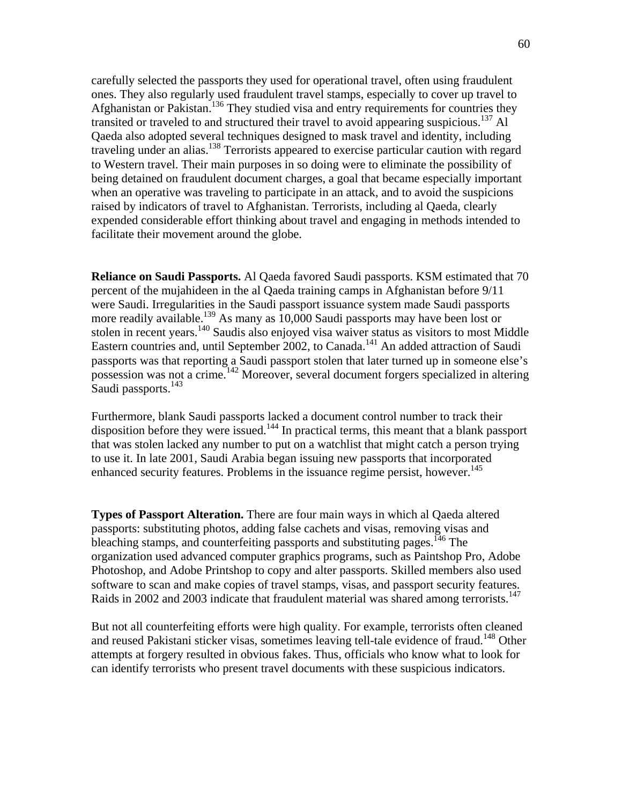carefully selected the passports they used for operational travel, often using fraudulent ones. They also regularly used fraudulent travel stamps, especially to cover up travel to Afghanistan or Pakistan.136 They studied visa and entry requirements for countries they transited or traveled to and structured their travel to avoid appearing suspicious.<sup>137</sup> Al Qaeda also adopted several techniques designed to mask travel and identity, including traveling under an alias.<sup>138</sup> Terrorists appeared to exercise particular caution with regard to Western travel. Their main purposes in so doing were to eliminate the possibility of being detained on fraudulent document charges, a goal that became especially important when an operative was traveling to participate in an attack, and to avoid the suspicions raised by indicators of travel to Afghanistan. Terrorists, including al Qaeda, clearly expended considerable effort thinking about travel and engaging in methods intended to facilitate their movement around the globe.

**Reliance on Saudi Passports.** Al Qaeda favored Saudi passports. KSM estimated that 70 percent of the mujahideen in the al Qaeda training camps in Afghanistan before 9/11 were Saudi. Irregularities in the Saudi passport issuance system made Saudi passports more readily available.<sup>139</sup> As many as 10,000 Saudi passports may have been lost or stolen in recent years.<sup>140</sup> Saudis also enjoyed visa waiver status as visitors to most Middle Eastern countries and, until September 2002, to Canada.<sup>141</sup> An added attraction of Saudi passports was that reporting a Saudi passport stolen that later turned up in someone else's possession was not a crime.142 Moreover, several document forgers specialized in altering Saudi passports.<sup>143</sup>

Furthermore, blank Saudi passports lacked a document control number to track their disposition before they were issued.<sup>144</sup> In practical terms, this meant that a blank passport that was stolen lacked any number to put on a watchlist that might catch a person trying to use it. In late 2001, Saudi Arabia began issuing new passports that incorporated enhanced security features. Problems in the issuance regime persist, however.<sup>145</sup>

**Types of Passport Alteration.** There are four main ways in which al Qaeda altered passports: substituting photos, adding false cachets and visas, removing visas and bleaching stamps, and counterfeiting passports and substituting pages.<sup>146</sup> The organization used advanced computer graphics programs, such as Paintshop Pro, Adobe Photoshop, and Adobe Printshop to copy and alter passports. Skilled members also used software to scan and make copies of travel stamps, visas, and passport security features. Raids in 2002 and 2003 indicate that fraudulent material was shared among terrorists.<sup>147</sup>

But not all counterfeiting efforts were high quality. For example, terrorists often cleaned and reused Pakistani sticker visas, sometimes leaving tell-tale evidence of fraud.<sup>148</sup> Other attempts at forgery resulted in obvious fakes. Thus, officials who know what to look for can identify terrorists who present travel documents with these suspicious indicators.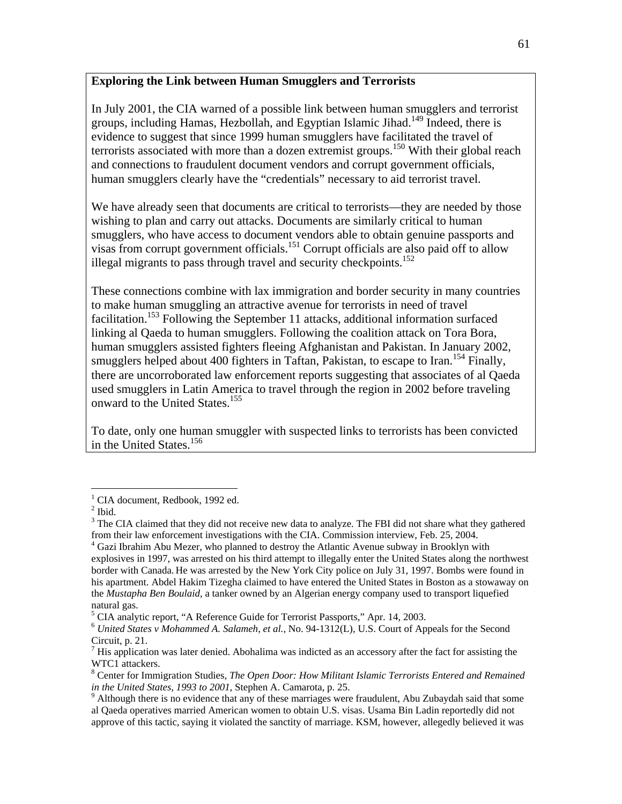## **Exploring the Link between Human Smugglers and Terrorists**

In July 2001, the CIA warned of a possible link between human smugglers and terrorist groups, including Hamas, Hezbollah, and Egyptian Islamic Jihad.<sup>149</sup> Indeed, there is evidence to suggest that since 1999 human smugglers have facilitated the travel of terrorists associated with more than a dozen extremist groups.<sup>150</sup> With their global reach and connections to fraudulent document vendors and corrupt government officials, human smugglers clearly have the "credentials" necessary to aid terrorist travel.

We have already seen that documents are critical to terrorists—they are needed by those wishing to plan and carry out attacks. Documents are similarly critical to human smugglers, who have access to document vendors able to obtain genuine passports and visas from corrupt government officials.151 Corrupt officials are also paid off to allow illegal migrants to pass through travel and security checkpoints.<sup>152</sup>

These connections combine with lax immigration and border security in many countries to make human smuggling an attractive avenue for terrorists in need of travel facilitation.<sup>153</sup> Following the September 11 attacks, additional information surfaced linking al Qaeda to human smugglers. Following the coalition attack on Tora Bora, human smugglers assisted fighters fleeing Afghanistan and Pakistan. In January 2002, smugglers helped about 400 fighters in Taftan, Pakistan, to escape to Iran.<sup>154</sup> Finally, there are uncorroborated law enforcement reports suggesting that associates of al Qaeda used smugglers in Latin America to travel through the region in 2002 before traveling onward to the United States.<sup>155</sup>

To date, only one human smuggler with suspected links to terrorists has been convicted in the United States.<sup>156</sup>

 $\overline{a}$ 

<sup>&</sup>lt;sup>1</sup> CIA document, Redbook, 1992 ed.

 $<sup>2</sup>$  Ibid.</sup>

 $3$  The CIA claimed that they did not receive new data to analyze. The FBI did not share what they gathered from their law enforcement investigations with the CIA. Commission interview, Feb. 25, 2004. 4

 $4$  Gazi Ibrahim Abu Mezer, who planned to destroy the Atlantic Avenue subway in Brooklyn with explosives in 1997, was arrested on his third attempt to illegally enter the United States along the northwest border with Canada. He was arrested by the New York City police on July 31, 1997. Bombs were found in his apartment. Abdel Hakim Tizegha claimed to have entered the United States in Boston as a stowaway on the *Mustapha Ben Boulaid*, a tanker owned by an Algerian energy company used to transport liquefied natural gas.

<sup>&</sup>lt;sup>5</sup> CIA analytic report, "A Reference Guide for Terrorist Passports," Apr. 14, 2003.

<sup>6</sup> *United States v Mohammed A. Salameh, et al.,* No. 94-1312(L), U.S. Court of Appeals for the Second Circuit, p. 21.

 $<sup>7</sup>$  His application was later denied. Abohalima was indicted as an accessory after the fact for assisting the</sup> WTC1 attackers.

<sup>8</sup> Center for Immigration Studies, *The Open Door: How Militant Islamic Terrorists Entered and Remained in the United States, 1993 to 2001, Stephen A. Camarota, p. 25.* 

 $9$  Although there is no evidence that any of these marriages were fraudulent, Abu Zubaydah said that some al Qaeda operatives married American women to obtain U.S. visas. Usama Bin Ladin reportedly did not approve of this tactic, saying it violated the sanctity of marriage. KSM, however, allegedly believed it was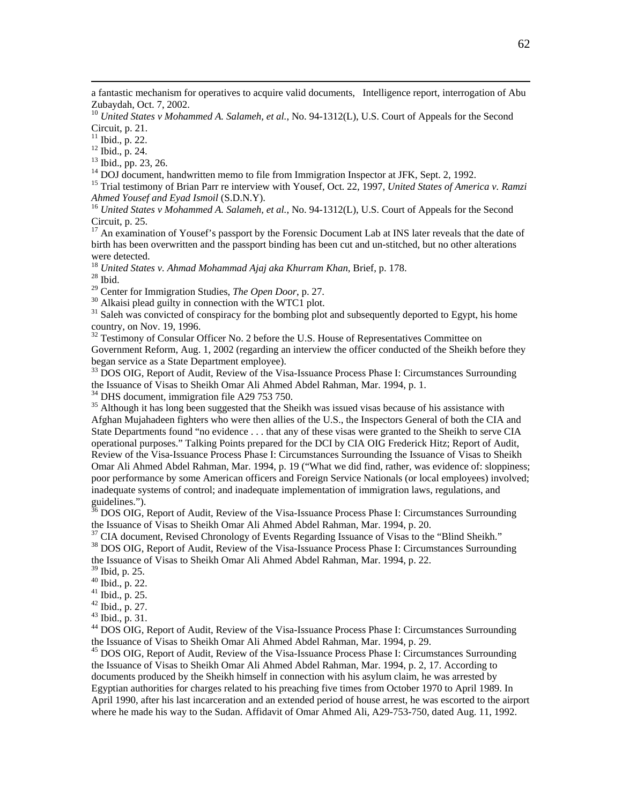a fantastic mechanism for operatives to acquire valid documents, Intelligence report, interrogation of Abu Zubaydah, Oct. 7, 2002.

<sup>10</sup> United States v Mohammed A. Salameh, et al., No. 94-1312(L), U.S. Court of Appeals for the Second Circuit, p. 21.

<sup>11</sup> Ibid., p. 22.

12 Ibid., p. 24.

 $^{13}$  Ibid., pp. 23, 26.<br> $^{14}$  DOJ document, handwritten memo to file from Immigration Inspector at JFK. Sept. 2, 1992.

<sup>15</sup> Trial testimony of Brian Parr re interview with Yousef, Oct. 22, 1997, *United States of America v. Ramzi Ahmed Yousef and Eyad Ismoil* (S.D.N.Y).<br><sup>16</sup> *United States v Mohammed A. Salameh, et al.*, No. 94-1312(L), U.S. Court of Appeals for the Second

Circuit, p. 25.

<sup>17</sup> An examination of Yousef's passport by the Forensic Document Lab at INS later reveals that the date of birth has been overwritten and the passport binding has been cut and un-stitched, but no other alterations were detected.

<sup>18</sup> *United States v. Ahmad Mohammad Ajaj aka Khurram Khan*, Brief, p. 178.<br><sup>28</sup> Ibid. <sup>29</sup> Center for Immigration Studies, *The Open Door*, p. 27.

<sup>30</sup> Alkaisi plead guilty in connection with the WTC1 plot.

<sup>31</sup> Saleh was convicted of conspiracy for the bombing plot and subsequently deported to Egypt, his home country, on Nov. 19, 1996.

 $32$  Testimony of Consular Officer No. 2 before the U.S. House of Representatives Committee on Government Reform, Aug. 1, 2002 (regarding an interview the officer conducted of the Sheikh before they began service as a State Department employee).

<sup>33</sup> DOS OIG, Report of Audit, Review of the Visa-Issuance Process Phase I: Circumstances Surrounding the Issuance of Visas to Sheikh Omar Ali Ahmed Abdel Rahman, Mar. 1994, p. 1.

<sup>34</sup> DHS document, immigration file A29 753 750.

<sup>35</sup> Although it has long been suggested that the Sheikh was issued visas because of his assistance with Afghan Mujahadeen fighters who were then allies of the U.S., the Inspectors General of both the CIA and State Departments found "no evidence . . . that any of these visas were granted to the Sheikh to serve CIA operational purposes." Talking Points prepared for the DCI by CIA OIG Frederick Hitz; Report of Audit, Review of the Visa-Issuance Process Phase I: Circumstances Surrounding the Issuance of Visas to Sheikh Omar Ali Ahmed Abdel Rahman, Mar. 1994, p. 19 ("What we did find, rather, was evidence of: sloppiness; poor performance by some American officers and Foreign Service Nationals (or local employees) involved; inadequate systems of control; and inadequate implementation of immigration laws, regulations, and guidelines.").

 $36$  DOS OIG, Report of Audit, Review of the Visa-Issuance Process Phase I: Circumstances Surrounding the Issuance of Visas to Sheikh Omar Ali Ahmed Abdel Rahman, Mar. 1994, p. 20.

 $37$  CIA document, Revised Chronology of Events Regarding Issuance of Visas to the "Blind Sheikh." <sup>38</sup> DOS OIG, Report of Audit, Review of the Visa-Issuance Process Phase I: Circumstances Surrounding the Issuance of Visas to Sheikh Omar Ali Ahmed Abdel Rahman, Mar. 1994, p. 22.

39 Ibid, p. 25.

40 Ibid., p. 22.

 $41$  Ibid., p. 25.

42 Ibid., p. 27.

43 Ibid., p. 31.

44 DOS OIG, Report of Audit, Review of the Visa-Issuance Process Phase I: Circumstances Surrounding the Issuance of Visas to Sheikh Omar Ali Ahmed Abdel Rahman, Mar. 1994, p. 29.<br><sup>45</sup> DOS OIG, Report of Audit, Review of the Visa-Issuance Process Phase I: Circumstances Surrounding

the Issuance of Visas to Sheikh Omar Ali Ahmed Abdel Rahman, Mar. 1994, p. 2, 17. According to documents produced by the Sheikh himself in connection with his asylum claim, he was arrested by Egyptian authorities for charges related to his preaching five times from October 1970 to April 1989. In April 1990, after his last incarceration and an extended period of house arrest, he was escorted to the airport where he made his way to the Sudan. Affidavit of Omar Ahmed Ali, A29-753-750, dated Aug. 11, 1992.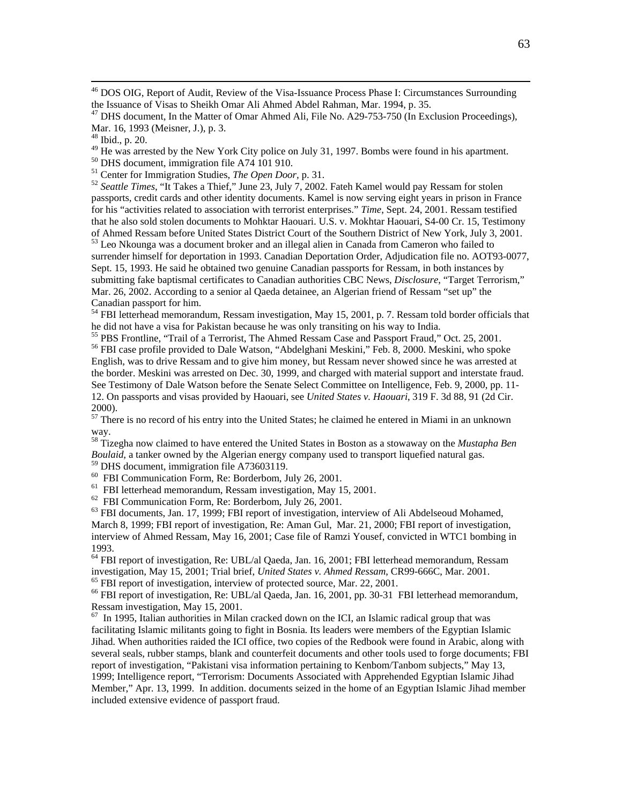$^{46}$  DOS OIG, Report of Audit, Review of the Visa-Issuance Process Phase I: Circumstances Surrounding the Issuance of Visas to Sheikh Omar Ali Ahmed Abdel Rahman, Mar. 1994, p. 35.

<sup>47</sup> DHS document, In the Matter of Omar Ahmed Ali, File No. A29-753-750 (In Exclusion Proceedings), Mar. 16, 1993 (Meisner, J.), p. 3.

<sup>49</sup> He was arrested by the New York City police on July 31, 1997. Bombs were found in his apartment.<br><sup>50</sup> DHS document, immigration file A74 101 910.<br><sup>51</sup> Center for Immigration Studies, *The Open Door*, p. 31.

<sup>52</sup> Seattle Times, "It Takes a Thief," June 23, July 7, 2002. Fateh Kamel would pay Ressam for stolen passports, credit cards and other identity documents. Kamel is now serving eight years in prison in France for his "activities related to association with terrorist enterprises." *Time*, Sept. 24, 2001. Ressam testified that he also sold stolen documents to Mohktar Haouari. U.S. v. Mokhtar Haouari, S4-00 Cr. 15, Testimony of Ahmed Ressam before United States District Court of the Southern District of New York, July 3, 2001.  $53$  Leo Nkounga was a document broker and an illegal alien in Canada from Cameron who failed to surrender himself for deportation in 1993. Canadian Deportation Order, Adjudication file no. AOT93-0077, Sept. 15, 1993. He said he obtained two genuine Canadian passports for Ressam, in both instances by submitting fake baptismal certificates to Canadian authorities CBC News, *Disclosure*, "Target Terrorism," Mar. 26, 2002. According to a senior al Qaeda detainee, an Algerian friend of Ressam "set up" the Canadian passport for him.

 $\frac{54}{54}$  FBI letterhead memorandum, Ressam investigation, May 15, 2001, p. 7. Ressam told border officials that he did not have a visa for Pakistan because he was only transiting on his way to India.

<sup>55</sup> PBS Frontline, "Trail of a Terrorist, The Ahmed Ressam Case and Passport Fraud," Oct. 25, 2001.<br><sup>56</sup> FBI case profile provided to Dale Watson, "Abdelghani Meskini," Feb. 8, 2000. Meskini, who spoke

English, was to drive Ressam and to give him money, but Ressam never showed since he was arrested at the border. Meskini was arrested on Dec. 30, 1999, and charged with material support and interstate fraud. See Testimony of Dale Watson before the Senate Select Committee on Intelligence, Feb. 9, 2000, pp. 11- 12. On passports and visas provided by Haouari, see *United States v. Haouari*, 319 F. 3d 88, 91 (2d Cir. 2000).

<sup>57</sup> There is no record of his entry into the United States; he claimed he entered in Miami in an unknown way.

58 Tizegha now claimed to have entered the United States in Boston as a stowaway on the *Mustapha Ben Boulaid*, a tanker owned by the Algerian energy company used to transport liquefied natural gas. 59 DHS document, immigration file A73603119.

60 FBI Communication Form, Re: Borderbom, July 26, 2001.

61 FBI letterhead memorandum, Ressam investigation, May 15, 2001.

62 FBI Communication Form, Re: Borderbom, July 26, 2001.

 $<sup>63</sup>$  FBI documents, Jan. 17, 1999; FBI report of investigation, interview of Ali Abdelseoud Mohamed,</sup> March 8, 1999; FBI report of investigation, Re: Aman Gul, Mar. 21, 2000; FBI report of investigation, interview of Ahmed Ressam, May 16, 2001; Case file of Ramzi Yousef, convicted in WTC1 bombing in 1993.

<sup>64</sup> FBI report of investigation, Re: UBL/al Qaeda, Jan. 16, 2001; FBI letterhead memorandum, Ressam investigation, May 15, 2001; Trial brief, *United States v. Ahmed Ressam*, CR99-666C, Mar. 2001. <sup>65</sup> FBI report of investigation, interview of protected source, Mar. 22, 2001.

66 FBI report of investigation, Re: UBL/al Qaeda, Jan. 16, 2001, pp. 30-31 FBI letterhead memorandum, Ressam investigation, May 15, 2001.

 $67$  In 1995, Italian authorities in Milan cracked down on the ICI, an Islamic radical group that was facilitating Islamic militants going to fight in Bosnia. Its leaders were members of the Egyptian Islamic Jihad. When authorities raided the ICI office, two copies of the Redbook were found in Arabic, along with several seals, rubber stamps, blank and counterfeit documents and other tools used to forge documents; FBI report of investigation, "Pakistani visa information pertaining to Kenbom/Tanbom subjects," May 13, 1999; Intelligence report, "Terrorism: Documents Associated with Apprehended Egyptian Islamic Jihad Member," Apr. 13, 1999. In addition. documents seized in the home of an Egyptian Islamic Jihad member included extensive evidence of passport fraud.

<sup>48</sup> Ibid., p. 20.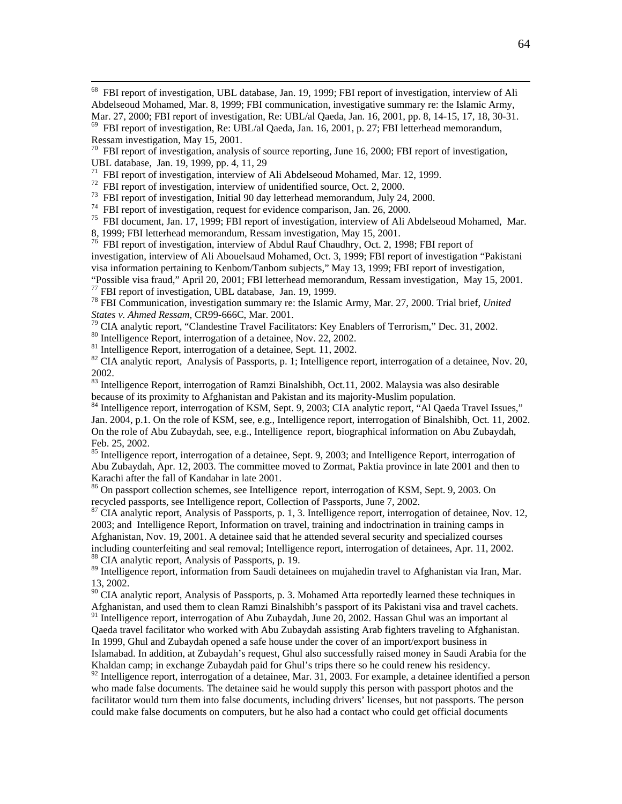<sup>68</sup> FBI report of investigation, UBL database, Jan. 19, 1999; FBI report of investigation, interview of Ali Abdelseoud Mohamed, Mar. 8, 1999; FBI communication, investigative summary re: the Islamic Army, Mar. 27, 2000; FBI report of investigation, Re: UBL/al Qaeda, Jan. 16, 2001, pp. 8, 14-15, 17, 18, 30-31.

 $^{69}$  FBI report of investigation, Re: UBL/al Qaeda, Jan. 16, 2001, p. 27; FBI letterhead memorandum, Ressam investigation, May 15, 2001.

 $70$  FBI report of investigation, analysis of source reporting, June 16, 2000; FBI report of investigation, UBL database, Jan. 19, 1999, pp. 4, 11, 29

<sup>71</sup> FBI report of investigation, interview of Ali Abdelseoud Mohamed, Mar. 12, 1999.

<sup>72</sup> FBI report of investigation, interview of unidentified source, Oct. 2, 2000.

<sup>73</sup> FBI report of investigation, Initial 90 day letterhead memorandum, July 24, 2000.

<sup>74</sup> FBI report of investigation, request for evidence comparison, Jan. 26, 2000.

75 FBI document, Jan. 17, 1999; FBI report of investigation, interview of Ali Abdelseoud Mohamed, Mar.

8, 1999; FBI letterhead memorandum, Ressam investigation, May 15, 2001.

<sup>76</sup> FBI report of investigation, interview of Abdul Rauf Chaudhry, Oct. 2, 1998; FBI report of investigation, interview of Ali Abouelsaud Mohamed, Oct. 3, 1999; FBI report of investigation "Pakistani visa information pertaining to Kenbom/Tanbom subjects," May 13, 1999; FBI report of investigation, "Possible visa fraud," April 20, 2001; FBI letterhead memorandum, Ressam investigation, May 15, 2001. 77 FBI report of investigation, UBL database, Jan. 19, 1999.

78 FBI Communication, investigation summary re: the Islamic Army, Mar. 27, 2000. Trial brief, *United States v. Ahmed Ressam*, CR99-666C, Mar. 2001.<br><sup>79</sup> CIA analytic report, "Clandestine Travel Facilitators: Key Enablers of Terrorism," Dec. 31, 2002.<br><sup>80</sup> Intelligence Report, interrogation of a detainee, Nov. 22, 2002.

<sup>81</sup> Intelligence Report, interrogation of a detainee, Sept. 11, 2002.

<sup>82</sup> CIA analytic report, Analysis of Passports, p. 1; Intelligence report, interrogation of a detainee, Nov. 20, 2002.

<sup>83</sup> Intelligence Report, interrogation of Ramzi Binalshibh, Oct.11, 2002. Malaysia was also desirable because of its proximity to Afghanistan and Pakistan and its majority-Muslim population.<br><sup>84</sup> Intelligence report, interrogation of KSM, Sept. 9, 2003; CIA analytic report, "Al Qaeda Travel Issues,"

Jan. 2004, p.1. On the role of KSM, see, e.g., Intelligence report, interrogation of Binalshibh, Oct. 11, 2002. On the role of Abu Zubaydah, see, e.g., Intelligence report, biographical information on Abu Zubaydah, Feb. 25, 2002.

<sup>85</sup> Intelligence report, interrogation of a detainee, Sept. 9, 2003; and Intelligence Report, interrogation of Abu Zubaydah, Apr. 12, 2003. The committee moved to Zormat, Paktia province in late 2001 and then to Karachi after the fall of Kandahar in late 2001.

<sup>86</sup> On passport collection schemes, see Intelligence report, interrogation of KSM, Sept. 9, 2003. On recycled passports, see Intelligence report, Collection of Passports, June 7, 2002.

 $^{87}$  CIA analytic report, Analysis of Passports, p. 1, 3. Intelligence report, interrogation of detainee, Nov. 12, 2003; and Intelligence Report, Information on travel, training and indoctrination in training camps in Afghanistan, Nov. 19, 2001. A detainee said that he attended several security and specialized courses including counterfeiting and seal removal; Intelligence report, interrogation of detainees, Apr. 11, 2002. 88 CIA analytic report, Analysis of Passports, p. 19.

<sup>89</sup> Intelligence report, information from Saudi detainees on mujahedin travel to Afghanistan via Iran, Mar. 13, 2002.

 $90$  CIA analytic report, Analysis of Passports, p. 3. Mohamed Atta reportedly learned these techniques in Afghanistan, and used them to clean Ramzi Binalshibh's passport of its Pakistani visa and travel cachets. <sup>91</sup> Intelligence report, interrogation of Abu Zubaydah, June 20, 2002. Hassan Ghul was an important al

Qaeda travel facilitator who worked with Abu Zubaydah assisting Arab fighters traveling to Afghanistan. In 1999, Ghul and Zubaydah opened a safe house under the cover of an import/export business in Islamabad. In addition, at Zubaydah's request, Ghul also successfully raised money in Saudi Arabia for the

Khaldan camp; in exchange Zubaydah paid for Ghul's trips there so he could renew his residency.  $92$  Intelligence report, interrogation of a detainee, Mar. 31, 2003. For example, a detainee identified a person who made false documents. The detainee said he would supply this person with passport photos and the facilitator would turn them into false documents, including drivers' licenses, but not passports. The person could make false documents on computers, but he also had a contact who could get official documents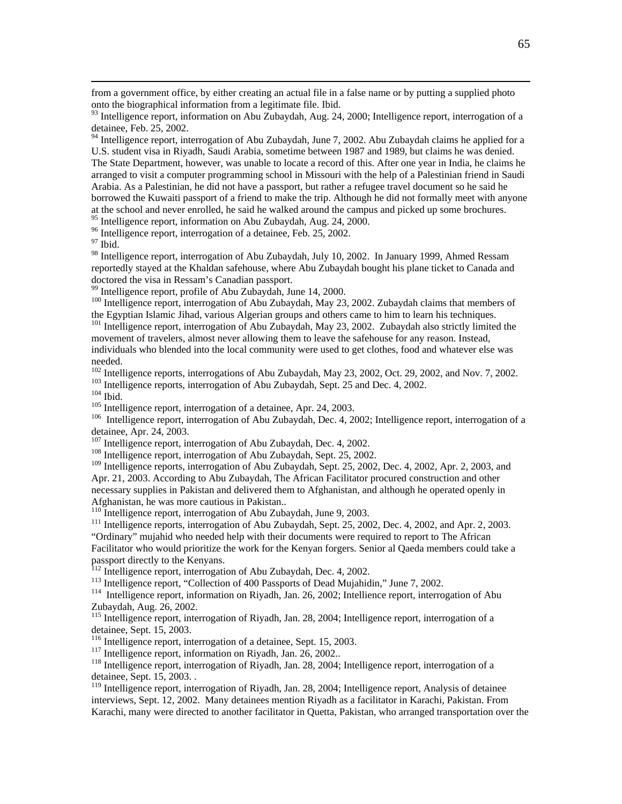from a government office, by either creating an actual file in a false name or by putting a supplied photo onto the biographical information from a legitimate file. Ibid.

 $93$  Intelligence report, information on Abu Zubaydah, Aug. 24, 2000; Intelligence report, interrogation of a detainee, Feb. 25, 2002.

 $94$  Intelligence report, interrogation of Abu Zubaydah, June 7, 2002. Abu Zubaydah claims he applied for a U.S. student visa in Riyadh, Saudi Arabia, sometime between 1987 and 1989, but claims he was denied. The State Department, however, was unable to locate a record of this. After one year in India, he claims he arranged to visit a computer programming school in Missouri with the help of a Palestinian friend in Saudi Arabia. As a Palestinian, he did not have a passport, but rather a refugee travel document so he said he borrowed the Kuwaiti passport of a friend to make the trip. Although he did not formally meet with anyone at the school and never enrolled, he said he walked around the campus and picked up some brochures.

<sup>95</sup> Intelligence report, information on Abu Zubaydah, Aug. 24, 2000.

<sup>96</sup> Intelligence report, interrogation of a detainee, Feb. 25, 2002.

97 Ibid.

<sup>98</sup> Intelligence report, interrogation of Abu Zubaydah, July 10, 2002. In January 1999, Ahmed Ressam reportedly stayed at the Khaldan safehouse, where Abu Zubaydah bought his plane ticket to Canada and doctored the visa in Ressam's Canadian passport.

99 Intelligence report, profile of Abu Zubaydah, June 14, 2000.

<sup>100</sup> Intelligence report, interrogation of Abu Zubaydah, May 23, 2002. Zubaydah claims that members of the Egyptian Islamic Jihad, various Algerian groups and others came to him to learn his techniques.

<sup>101</sup> Intelligence report, interrogation of Abu Zubaydah, May 23, 2002. Zubaydah also strictly limited the movement of travelers, almost never allowing them to leave the safehouse for any reason. Instead, individuals who blended into the local community were used to get clothes, food and whatever else was needed.

<sup>102</sup> Intelligence reports, interrogations of Abu Zubaydah, May 23, 2002, Oct. 29, 2002, and Nov. 7, 2002.<br><sup>103</sup> Intelligence reports, interrogation of Abu Zubaydah, Sept. 25 and Dec. 4, 2002.<br><sup>104</sup> Ibid.<br><sup>105</sup> Intelligen

detainee, Apr. 24, 2003.<br><sup>107</sup> Intelligence report, interrogation of Abu Zubaydah, Dec. 4, 2002.

<sup>108</sup> Intelligence report, interrogation of Abu Zubaydah, Sept. 25, 2002.

<sup>109</sup> Intelligence reports, interrogation of Abu Zubaydah, Sept. 25, 2002, Dec. 4, 2002, Apr. 2, 2003, and Apr. 21, 2003. According to Abu Zubaydah, The African Facilitator procured construction and other necessary supplies in Pakistan and delivered them to Afghanistan, and although he operated openly in Afghanistan, he was more cautious in Pakistan..<br><sup>110</sup> Intelligence report, interrogation of Abu Zubaydah, June 9, 2003.

<sup>111</sup> Intelligence reports, interrogation of Abu Zubaydah, Sept. 25, 2002, Dec. 4, 2002, and Apr. 2, 2003. "Ordinary" mujahid who needed help with their documents were required to report to The African

Facilitator who would prioritize the work for the Kenyan forgers. Senior al Qaeda members could take a passport directly to the Kenyans.<br><sup>112</sup> Intelligence report, interrogation of Abu Zubaydah, Dec. 4, 2002.

<sup>113</sup> Intelligence report, "Collection of 400 Passports of Dead Mujahidin," June 7, 2002.<br><sup>114</sup> Intelligence report, information on Rivadh, Jan. 26, 2002; Intellience report, interrogation of Abu

Zubaydah, Aug. 26, 2002.

<sup>115</sup> Intelligence report, interrogation of Riyadh, Jan. 28, 2004; Intelligence report, interrogation of a detainee, Sept. 15, 2003.<br><sup>116</sup> Intelligence report, interrogation of a detainee, Sept. 15, 2003.

<sup>117</sup> Intelligence report, information on Riyadh, Jan. 26, 2002..<br><sup>118</sup> Intelligence report, interrogation of Riyadh, Jan. 28, 2004; Intelligence report, interrogation of a detainee, Sept. 15, 2003. .

<sup>119</sup> Intelligence report, interrogation of Riyadh, Jan. 28, 2004; Intelligence report, Analysis of detainee interviews, Sept. 12, 2002. Many detainees mention Riyadh as a facilitator in Karachi, Pakistan. From Karachi, many were directed to another facilitator in Quetta, Pakistan, who arranged transportation over the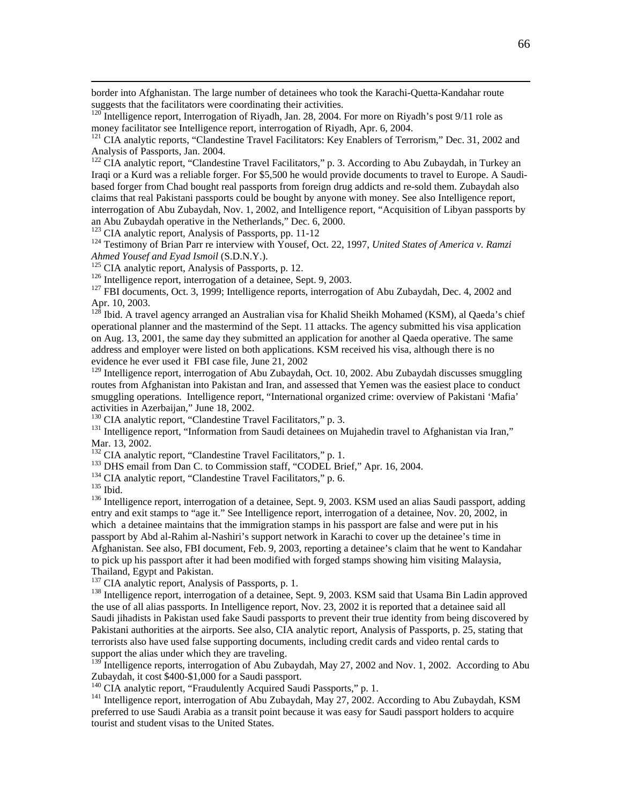border into Afghanistan. The large number of detainees who took the Karachi-Quetta-Kandahar route suggests that the facilitators were coordinating their activities.

 $122$  CIA analytic report, "Clandestine Travel Facilitators," p. 3. According to Abu Zubaydah, in Turkey an Iraqi or a Kurd was a reliable forger. For \$5,500 he would provide documents to travel to Europe. A Saudibased forger from Chad bought real passports from foreign drug addicts and re-sold them. Zubaydah also claims that real Pakistani passports could be bought by anyone with money. See also Intelligence report, interrogation of Abu Zubaydah, Nov. 1, 2002, and Intelligence report, "Acquisition of Libyan passports by an Abu Zubaydah operative in the Netherlands," Dec. 6, 2000.<br><sup>123</sup> CIA analytic report, Analysis of Passports, pp. 11-12<br><sup>124</sup> Testimony of Brian Parr re interview with Yousef, Oct. 22, 1997, *United States of America v. R* 

Ahmed Yousef and Eyad Ismoil (S.D.N.Y.).<br><sup>125</sup> CIA analytic report, Analysis of Passports, p. 12.<br><sup>126</sup> Intelligence report, interrogation of a detainee, Sept. 9, 2003.<br><sup>127</sup> FBI documents, Oct. 3, 1999; Intelligence repor

Apr. 10, 2003.

 $12^{\$}$  Ibid. A travel agency arranged an Australian visa for Khalid Sheikh Mohamed (KSM), al Qaeda's chief operational planner and the mastermind of the Sept. 11 attacks. The agency submitted his visa application on Aug. 13, 2001, the same day they submitted an application for another al Qaeda operative. The same address and employer were listed on both applications. KSM received his visa, although there is no evidence he ever used it FBI case file, June 21, 2002

 $129$  Intelligence report, interrogation of Abu Zubaydah, Oct. 10, 2002. Abu Zubaydah discusses smuggling routes from Afghanistan into Pakistan and Iran, and assessed that Yemen was the easiest place to conduct smuggling operations. Intelligence report, "International organized crime: overview of Pakistani 'Mafia' activities in Azerbaijan," June 18, 2002.<br><sup>130</sup> CIA analytic report, "Clandestine Travel Facilitators," p. 3.

<sup>131</sup> Intelligence report, "Information from Saudi detainees on Mujahedin travel to Afghanistan via Iran," Mar. 13, 2002.<br><sup>132</sup> CIA analytic report, "Clandestine Travel Facilitators," p. 1.

<sup>133</sup> DHS email from Dan C. to Commission staff, "CODEL Brief," Apr. 16, 2004.<br><sup>134</sup> CIA analytic report, "Clandestine Travel Facilitators," p. 6.<br><sup>135</sup> Ibid.<br><sup>136</sup> Intelligence report, interrogation of a detainee, Sept. 9 entry and exit stamps to "age it." See Intelligence report, interrogation of a detainee, Nov. 20, 2002, in which a detainee maintains that the immigration stamps in his passport are false and were put in his passport by Abd al-Rahim al-Nashiri's support network in Karachi to cover up the detainee's time in Afghanistan. See also, FBI document, Feb. 9, 2003, reporting a detainee's claim that he went to Kandahar to pick up his passport after it had been modified with forged stamps showing him visiting Malaysia, Thailand, Egypt and Pakistan.<br><sup>137</sup> CIA analytic report, Analysis of Passports, p. 1.

<sup>138</sup> Intelligence report, interrogation of a detainee, Sept. 9, 2003. KSM said that Usama Bin Ladin approved the use of all alias passports. In Intelligence report, Nov. 23, 2002 it is reported that a detainee said all Saudi jihadists in Pakistan used fake Saudi passports to prevent their true identity from being discovered by Pakistani authorities at the airports. See also, CIA analytic report, Analysis of Passports, p. 25, stating that terrorists also have used false supporting documents, including credit cards and video rental cards to support the alias under which they are traveling.

<sup>139</sup> Intelligence reports, interrogation of Abu Zubaydah, May 27, 2002 and Nov. 1, 2002. According to Abu Zubaydah, it cost \$400-\$1,000 for a Saudi passport.<br><sup>140</sup> CIA analytic report, "Fraudulently Acquired Saudi Passports," p. 1.

<sup>141</sup> Intelligence report, interrogation of Abu Zubaydah, May 27, 2002. According to Abu Zubaydah, KSM preferred to use Saudi Arabia as a transit point because it was easy for Saudi passport holders to acquire tourist and student visas to the United States.

<sup>&</sup>lt;sup>120</sup> Intelligence report, Interrogation of Riyadh, Jan. 28, 2004. For more on Riyadh's post 9/11 role as money facilitator see Intelligence report, interrogation of Riyadh, Apr. 6, 2004.

<sup>&</sup>lt;sup>121</sup> CIA analytic reports, "Clandestine Travel Facilitators: Key Enablers of Terrorism," Dec. 31, 2002 and Analysis of Passports, Jan. 2004.